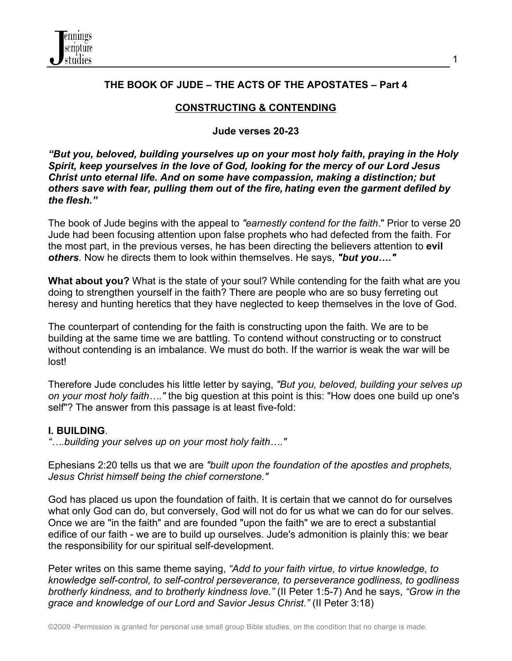

# **THE BOOK OF JUDE – THE ACTS OF THE APOSTATES – Part 4**

# **CONSTRUCTING & CONTENDING**

#### **Jude verses 20-23**

*"But you, beloved, building yourselves up on your most holy faith, praying in the Holy Spirit, keep yourselves in the love of God, looking for the mercy of our Lord Jesus Christ unto eternal life. And on some have compassion, making a distinction; but others save with fear, pulling them out of the fire, hating even the garment defiled by the flesh."*

The book of Jude begins with the appeal to *"earnestly contend for the faith*." Prior to verse 20 Jude had been focusing attention upon false prophets who had defected from the faith. For the most part, in the previous verses, he has been directing the believers attention to **evil**  *others.* Now he directs them to look within themselves. He says, *"but you…."*

**What about you?** What is the state of your soul? While contending for the faith what are you doing to strengthen yourself in the faith? There are people who are so busy ferreting out heresy and hunting heretics that they have neglected to keep themselves in the love of God.

The counterpart of contending for the faith is constructing upon the faith. We are to be building at the same time we are battling. To contend without constructing or to construct without contending is an imbalance. We must do both. If the warrior is weak the war will be lost!

Therefore Jude concludes his little letter by saying, *"But you, beloved, building your selves up on your most holy faith…."* the big question at this point is this: "How does one build up one's self"? The answer from this passage is at least five-fold:

#### **I. BUILDING**.

*"….building your selves up on your most holy faith…."*

Ephesians 2:20 tells us that we are *"built upon the foundation of the apostles and prophets, Jesus Christ himself being the chief cornerstone."*

God has placed us upon the foundation of faith. It is certain that we cannot do for ourselves what only God can do, but conversely, God will not do for us what we can do for our selves. Once we are "in the faith" and are founded "upon the faith" we are to erect a substantial edifice of our faith - we are to build up ourselves. Jude's admonition is plainly this: we bear the responsibility for our spiritual self-development.

Peter writes on this same theme saying, *"Add to your faith virtue, to virtue knowledge, to knowledge self-control, to self-control perseverance, to perseverance godliness, to godliness brotherly kindness, and to brotherly kindness love."* (II Peter 1:5-7) And he says, *"Grow in the grace and knowledge of our Lord and Savior Jesus Christ."* (II Peter 3:18)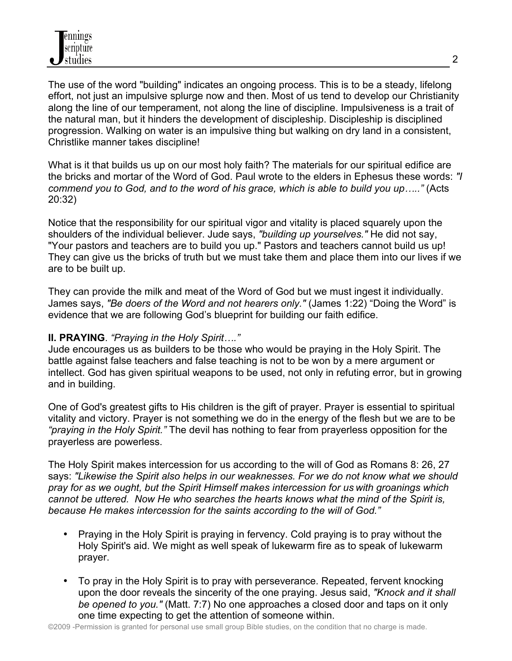The use of the word "building" indicates an ongoing process. This is to be a steady, lifelong effort, not just an impulsive splurge now and then. Most of us tend to develop our Christianity along the line of our temperament, not along the line of discipline. Impulsiveness is a trait of the natural man, but it hinders the development of discipleship. Discipleship is disciplined progression. Walking on water is an impulsive thing but walking on dry land in a consistent, Christlike manner takes discipline!

What is it that builds us up on our most holy faith? The materials for our spiritual edifice are the bricks and mortar of the Word of God. Paul wrote to the elders in Ephesus these words: *"I commend you to God, and to the word of his grace, which is able to build you up….."* (Acts 20:32)

Notice that the responsibility for our spiritual vigor and vitality is placed squarely upon the shoulders of the individual believer. Jude says, *"building up yourselves."* He did not say, "Your pastors and teachers are to build you up." Pastors and teachers cannot build us up! They can give us the bricks of truth but we must take them and place them into our lives if we are to be built up.

They can provide the milk and meat of the Word of God but we must ingest it individually. James says, *"Be doers of the Word and not hearers only."* (James 1:22) "Doing the Word" is evidence that we are following God's blueprint for building our faith edifice.

## **II. PRAYING**. *"Praying in the Holy Spirit…."*

Jude encourages us as builders to be those who would be praying in the Holy Spirit. The battle against false teachers and false teaching is not to be won by a mere argument or intellect. God has given spiritual weapons to be used, not only in refuting error, but in growing and in building.

One of God's greatest gifts to His children is the gift of prayer. Prayer is essential to spiritual vitality and victory. Prayer is not something we do in the energy of the flesh but we are to be *"praying in the Holy Spirit."* The devil has nothing to fear from prayerless opposition for the prayerless are powerless.

The Holy Spirit makes intercession for us according to the will of God as Romans 8: 26, 27 says: *"Likewise the Spirit also helps in our weaknesses. For we do not know what we should pray for as we ought, but the Spirit Himself makes intercession for us with groanings which cannot be uttered. Now He who searches the hearts knows what the mind of the Spirit is, because He makes intercession for the saints according to the will of God."*

- Praying in the Holy Spirit is praying in fervency. Cold praying is to pray without the Holy Spirit's aid. We might as well speak of lukewarm fire as to speak of lukewarm prayer.
- To pray in the Holy Spirit is to pray with perseverance. Repeated, fervent knocking upon the door reveals the sincerity of the one praying. Jesus said, *"Knock and it shall be opened to you."* (Matt. 7:7) No one approaches a closed door and taps on it only one time expecting to get the attention of someone within.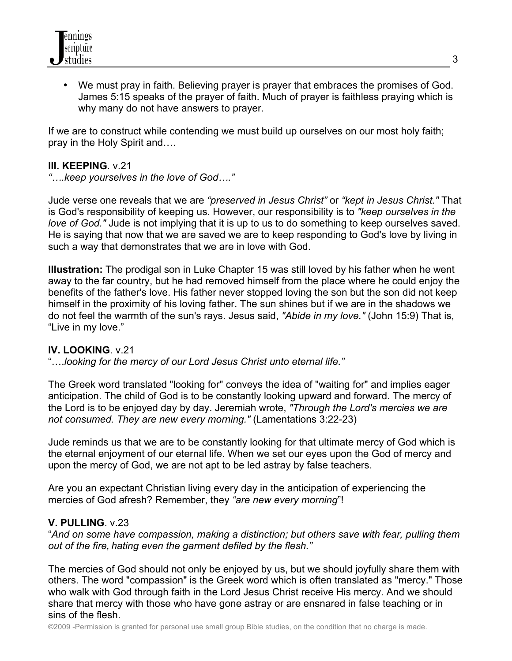

• We must pray in faith. Believing prayer is prayer that embraces the promises of God. James 5:15 speaks of the prayer of faith. Much of prayer is faithless praying which is why many do not have answers to prayer.

If we are to construct while contending we must build up ourselves on our most holy faith; pray in the Holy Spirit and….

#### **III. KEEPING**. v.21

*"….keep yourselves in the love of God…."*

Jude verse one reveals that we are *"preserved in Jesus Christ"* or *"kept in Jesus Christ."* That is God's responsibility of keeping us. However, our responsibility is to *"keep ourselves in the love of God."* Jude is not implying that it is up to us to do something to keep ourselves saved. He is saying that now that we are saved we are to keep responding to God's love by living in such a way that demonstrates that we are in love with God.

**Illustration:** The prodigal son in Luke Chapter 15 was still loved by his father when he went away to the far country, but he had removed himself from the place where he could enjoy the benefits of the father's love. His father never stopped loving the son but the son did not keep himself in the proximity of his loving father. The sun shines but if we are in the shadows we do not feel the warmth of the sun's rays. Jesus said, *"Abide in my love."* (John 15:9) That is, "Live in my love."

## **IV. LOOKING**. v.21

"….*looking for the mercy of our Lord Jesus Christ unto eternal life."*

The Greek word translated "looking for" conveys the idea of "waiting for" and implies eager anticipation. The child of God is to be constantly looking upward and forward. The mercy of the Lord is to be enjoyed day by day. Jeremiah wrote, *"Through the Lord's mercies we are not consumed. They are new every morning."* (Lamentations 3:22-23)

Jude reminds us that we are to be constantly looking for that ultimate mercy of God which is the eternal enjoyment of our eternal life. When we set our eyes upon the God of mercy and upon the mercy of God, we are not apt to be led astray by false teachers.

Are you an expectant Christian living every day in the anticipation of experiencing the mercies of God afresh? Remember, they *"are new every morning*"!

#### **V. PULLING**. v.23

"*And on some have compassion, making a distinction; but others save with fear, pulling them out of the fire, hating even the garment defiled by the flesh."*

The mercies of God should not only be enjoyed by us, but we should joyfully share them with others. The word "compassion" is the Greek word which is often translated as "mercy." Those who walk with God through faith in the Lord Jesus Christ receive His mercy. And we should share that mercy with those who have gone astray or are ensnared in false teaching or in sins of the flesh.